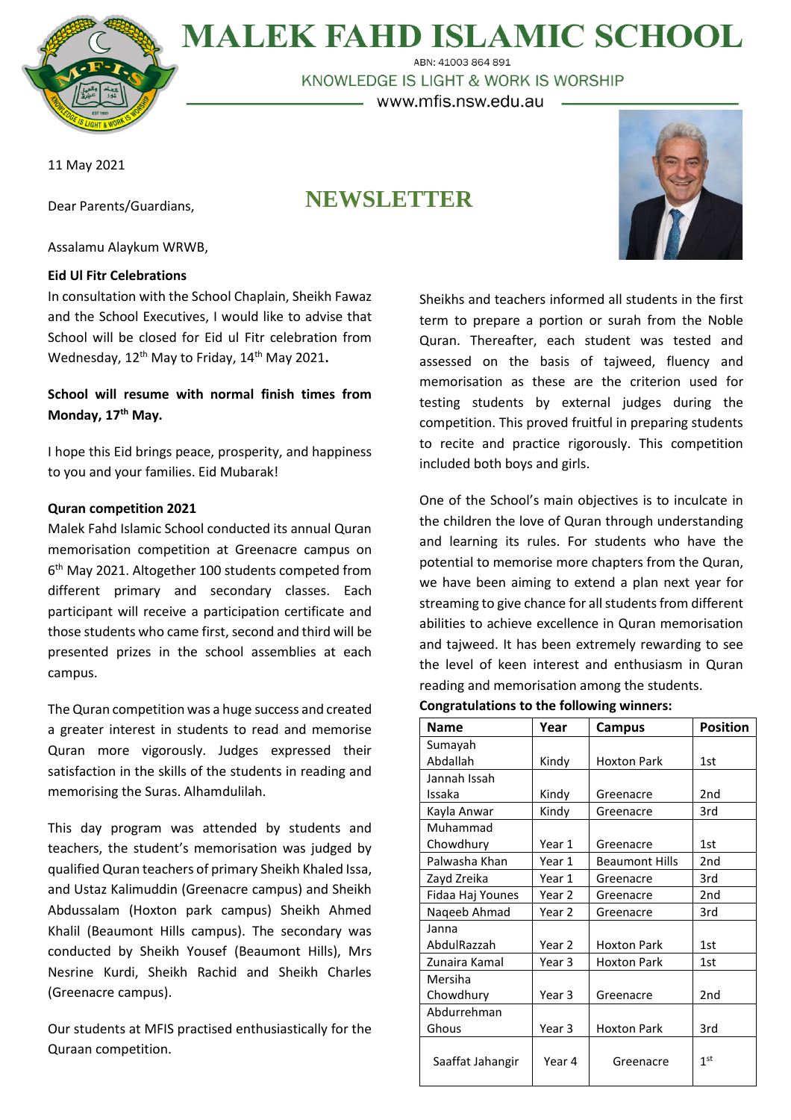

# **MALEK FAHD ISLAMIC SCHOOL**

ABN: 41003 864 891 KNOWLEDGE IS LIGHT & WORK IS WORSHIP – www.mfis.nsw.edu.au –

11 May 2021

Dear Parents/Guardians,

## **NEWSLETTER**



Assalamu Alaykum WRWB,

#### **Eid Ul Fitr Celebrations**

In consultation with the School Chaplain, Sheikh Fawaz and the School Executives, I would like to advise that School will be closed for Eid ul Fitr celebration from Wednesday, 12th May to Friday, 14th May 2021**.**

### **School will resume with normal finish times from Monday, 17th May.**

I hope this Eid brings peace, prosperity, and happiness to you and your families. Eid Mubarak!

#### **Quran competition 2021**

Malek Fahd Islamic School conducted its annual Quran memorisation competition at Greenacre campus on 6 th May 2021. Altogether 100 students competed from different primary and secondary classes. Each participant will receive a participation certificate and those students who came first, second and third will be presented prizes in the school assemblies at each campus.

The Quran competition was a huge success and created a greater interest in students to read and memorise Quran more vigorously. Judges expressed their satisfaction in the skills of the students in reading and memorising the Suras. Alhamdulilah.

This day program was attended by students and teachers, the student's memorisation was judged by qualified Quran teachers of primary Sheikh Khaled Issa, and Ustaz Kalimuddin (Greenacre campus) and Sheikh Abdussalam (Hoxton park campus) Sheikh Ahmed Khalil (Beaumont Hills campus). The secondary was conducted by Sheikh Yousef (Beaumont Hills), Mrs Nesrine Kurdi, Sheikh Rachid and Sheikh Charles (Greenacre campus).

Our students at MFIS practised enthusiastically for the Quraan competition.

Sheikhs and teachers informed all students in the first term to prepare a portion or surah from the Noble Quran. Thereafter, each student was tested and assessed on the basis of tajweed, fluency and memorisation as these are the criterion used for testing students by external judges during the competition. This proved fruitful in preparing students to recite and practice rigorously. This competition included both boys and girls.

One of the School's main objectives is to inculcate in the children the love of Quran through understanding and learning its rules. For students who have the potential to memorise more chapters from the Quran, we have been aiming to extend a plan next year for streaming to give chance for all students from different abilities to achieve excellence in Quran memorisation and tajweed. It has been extremely rewarding to see the level of keen interest and enthusiasm in Quran reading and memorisation among the students.

| <b>Congratulations to the following winners:</b> |  |  |  |  |
|--------------------------------------------------|--|--|--|--|
|--------------------------------------------------|--|--|--|--|

| <b>Name</b>      | Year              | Campus                | <b>Position</b> |
|------------------|-------------------|-----------------------|-----------------|
| Sumayah          |                   |                       |                 |
| Abdallah         | Kindy             | Hoxton Park           | 1st             |
| Jannah Issah     |                   |                       |                 |
| Issaka           | Kindy             | Greenacre             | 2 <sub>nd</sub> |
| Kayla Anwar      | Kindy             | Greenacre             | 3rd             |
| Muhammad         |                   |                       |                 |
| Chowdhury        | Year 1            | Greenacre             | 1st             |
| Palwasha Khan    | Year 1            | <b>Beaumont Hills</b> | 2 <sub>nd</sub> |
| Zayd Zreika      | Year 1            | Greenacre             | 3rd             |
| Fidaa Haj Younes | Year <sub>2</sub> | Greenacre             | 2 <sub>nd</sub> |
| Nageeb Ahmad     | Year 2            | Greenacre             | 3rd             |
| Janna            |                   |                       |                 |
| AbdulRazzah      | Year 2            | <b>Hoxton Park</b>    | 1st             |
| Zunaira Kamal    | Year 3            | <b>Hoxton Park</b>    | 1st             |
| Mersiha          |                   |                       |                 |
| Chowdhury        | Year 3            | Greenacre             | 2 <sub>nd</sub> |
| Abdurrehman      |                   |                       |                 |
| Ghous            | Year 3            | <b>Hoxton Park</b>    | 3rd             |
| Saaffat Jahangir | Year 4            | Greenacre             | 1 <sup>st</sup> |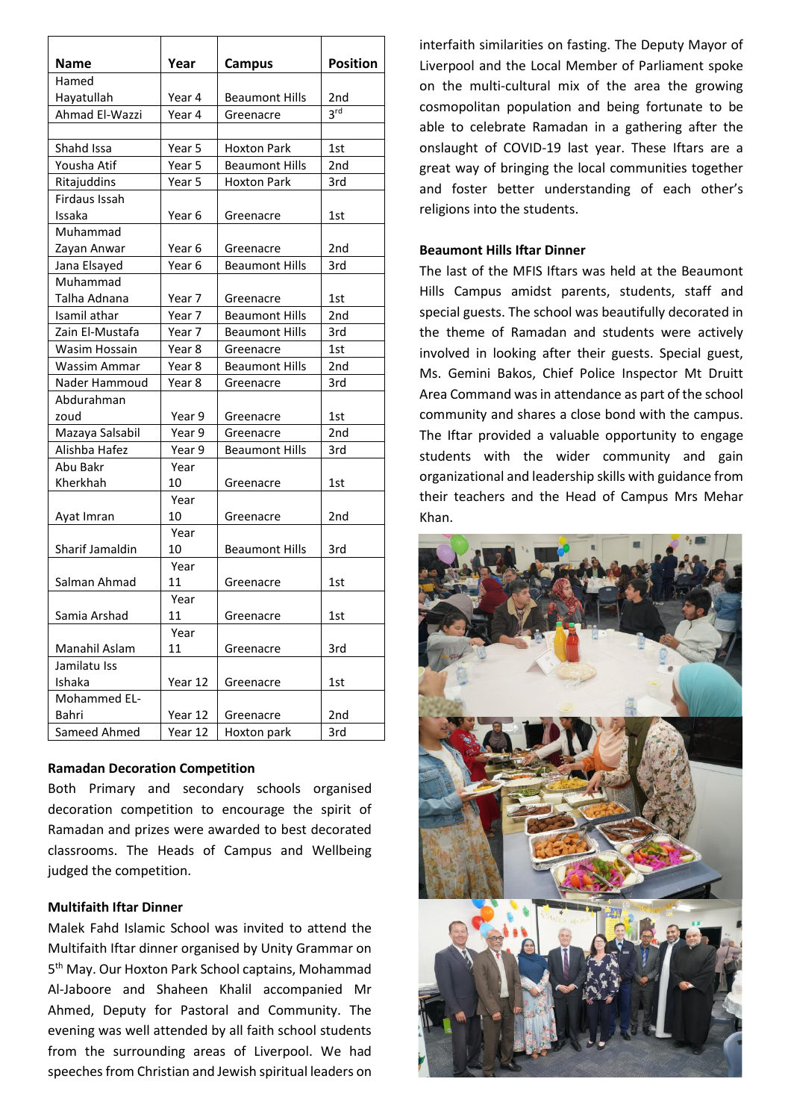| <b>Name</b>          | Year              | <b>Campus</b>         | <b>Position</b> |
|----------------------|-------------------|-----------------------|-----------------|
| Hamed                |                   |                       |                 |
| Hayatullah           | Year 4            | <b>Beaumont Hills</b> | 2nd             |
| Ahmad El-Wazzi       | Year 4            | Greenacre             | 3 <sup>rd</sup> |
|                      |                   |                       |                 |
| Shahd Issa           | Year 5            | Hoxton Park           | 1st             |
| Yousha Atif          | Year 5            | Beaumont Hills        | 2nd             |
| Ritajuddins          | Year 5            | <b>Hoxton Park</b>    | 3rd             |
| <b>Firdaus Issah</b> |                   |                       |                 |
| Issaka               | Year 6            | Greenacre             | 1st             |
| Muhammad             |                   |                       |                 |
| Zayan Anwar          | Year 6            | Greenacre             | 2 <sub>nd</sub> |
| Jana Elsayed         | Year <sub>6</sub> | <b>Beaumont Hills</b> | 3rd             |
| Muhammad             |                   |                       |                 |
| Talha Adnana         | Year 7            | Greenacre             | 1st             |
| Isamil athar         | Year 7            | <b>Beaumont Hills</b> | 2nd             |
| Zain El-Mustafa      | Year 7            | <b>Beaumont Hills</b> | 3rd             |
| Wasim Hossain        | Year 8            | Greenacre             | 1st             |
| Wassim Ammar         | Year 8            | <b>Beaumont Hills</b> | 2nd             |
| Nader Hammoud        | Year 8            | Greenacre             | 3rd             |
| Abdurahman           |                   |                       |                 |
| zoud                 | Year 9            | Greenacre             | 1st             |
| Mazaya Salsabil      | Year 9            | Greenacre             | 2nd             |
| Alishba Hafez        | Year 9            | <b>Beaumont Hills</b> | 3rd             |
| Abu Bakr             | Year              |                       |                 |
| Kherkhah             | 10                | Greenacre             | 1st             |
|                      | Year              |                       |                 |
| Ayat Imran           | 10                | Greenacre             | 2nd             |
|                      | Year              |                       |                 |
| Sharif Jamaldin      | 10                | <b>Beaumont Hills</b> | 3rd             |
|                      | Year              |                       |                 |
| Salman Ahmad         | 11                | Greenacre             | 1st             |
|                      | Year              |                       |                 |
| Samia Arshad         | 11                | Greenacre             | 1st             |
|                      | Year              |                       |                 |
| Manahil Aslam        | 11                | Greenacre             | 3rd             |
| Jamilatu Iss         |                   |                       |                 |
| Ishaka               | Year 12           | Greenacre             | 1st             |
| Mohammed EL-         |                   |                       |                 |
| Bahri                | Year 12           | Greenacre             | 2nd             |
| Sameed Ahmed         | Year 12           | Hoxton park           | 3rd             |

#### **Ramadan Decoration Competition**

Both Primary and secondary schools organised decoration competition to encourage the spirit of Ramadan and prizes were awarded to best decorated classrooms. The Heads of Campus and Wellbeing judged the competition.

#### **Multifaith Iftar Dinner**

Malek Fahd Islamic School was invited to attend the Multifaith Iftar dinner organised by Unity Grammar on 5 th May. Our Hoxton Park School captains, Mohammad Al-Jaboore and Shaheen Khalil accompanied Mr Ahmed, Deputy for Pastoral and Community. The evening was well attended by all faith school students from the surrounding areas of Liverpool. We had speeches from Christian and Jewish spiritual leaders on interfaith similarities on fasting. The Deputy Mayor of Liverpool and the Local Member of Parliament spoke on the multi-cultural mix of the area the growing cosmopolitan population and being fortunate to be able to celebrate Ramadan in a gathering after the onslaught of COVID-19 last year. These Iftars are a great way of bringing the local communities together and foster better understanding of each other's religions into the students.

#### **Beaumont Hills Iftar Dinner**

The last of the MFIS Iftars was held at the Beaumont Hills Campus amidst parents, students, staff and special guests. The school was beautifully decorated in the theme of Ramadan and students were actively involved in looking after their guests. Special guest, Ms. Gemini Bakos, Chief Police Inspector Mt Druitt Area Command was in attendance as part of the school community and shares a close bond with the campus. The Iftar provided a valuable opportunity to engage students with the wider community and gain organizational and leadership skills with guidance from their teachers and the Head of Campus Mrs Mehar Khan.